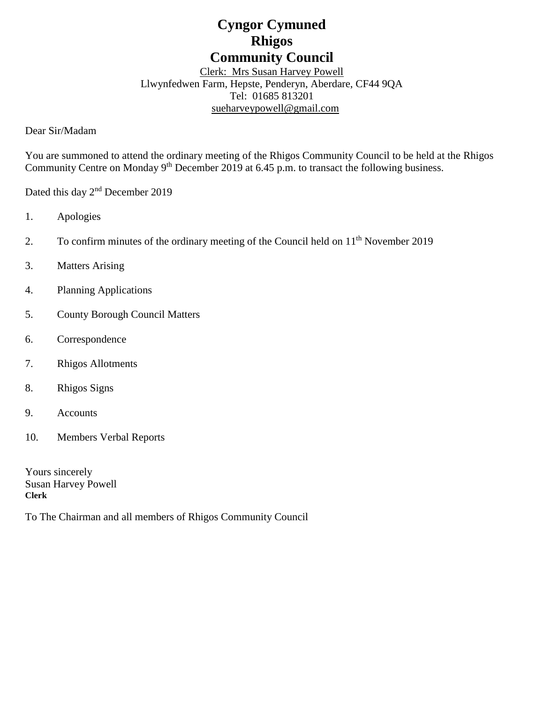# **Cyngor Cymuned Rhigos Community Council**

Clerk: Mrs Susan Harvey Powell Llwynfedwen Farm, Hepste, Penderyn, Aberdare, CF44 9QA Tel: 01685 813201 [sueharveypowell@g](mailto:sharveypowell@comin-infants.co.uk)mail.com

Dear Sir/Madam

You are summoned to attend the ordinary meeting of the Rhigos Community Council to be held at the Rhigos Community Centre on Monday 9<sup>th</sup> December 2019 at 6.45 p.m. to transact the following business.

Dated this day 2<sup>nd</sup> December 2019

- 1. Apologies
- 2. To confirm minutes of the ordinary meeting of the Council held on  $11<sup>th</sup>$  November 2019
- 3. Matters Arising
- 4. Planning Applications
- 5. County Borough Council Matters
- 6. Correspondence
- 7. Rhigos Allotments
- 8. Rhigos Signs
- 9. Accounts
- 10. Members Verbal Reports

Yours sincerely Susan Harvey Powell **Clerk**

To The Chairman and all members of Rhigos Community Council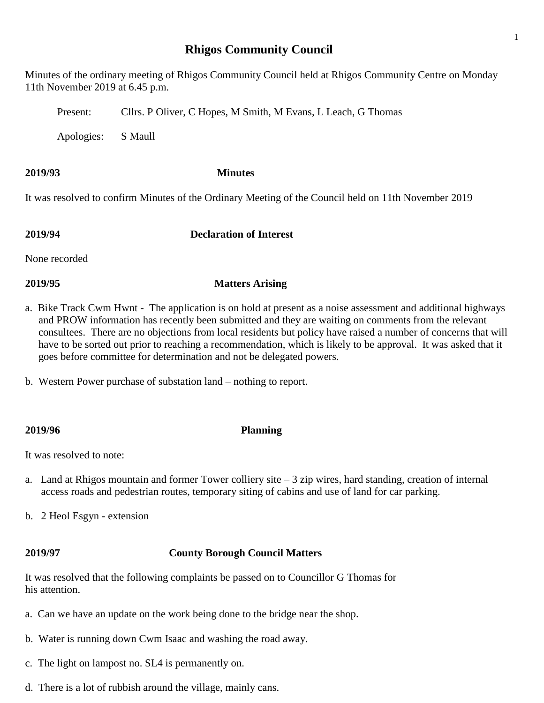# **Rhigos Community Council**

Minutes of the ordinary meeting of Rhigos Community Council held at Rhigos Community Centre on Monday 11th November 2019 at 6.45 p.m.

Present: Cllrs. P Oliver, C Hopes, M Smith, M Evans, L Leach, G Thomas

Apologies: S Maull

### **2019/93 Minutes**

It was resolved to confirm Minutes of the Ordinary Meeting of the Council held on 11th November 2019

**2019/94 Declaration of Interest**

None recorded

# **2019/95 Matters Arising**

- a. Bike Track Cwm Hwnt The application is on hold at present as a noise assessment and additional highways and PROW information has recently been submitted and they are waiting on comments from the relevant consultees. There are no objections from local residents but policy have raised a number of concerns that will have to be sorted out prior to reaching a recommendation, which is likely to be approval. It was asked that it goes before committee for determination and not be delegated powers.
- b. Western Power purchase of substation land nothing to report.

## **2019/96 Planning**

It was resolved to note:

- a. Land at Rhigos mountain and former Tower colliery site 3 zip wires, hard standing, creation of internal access roads and pedestrian routes, temporary siting of cabins and use of land for car parking.
- b. 2 Heol Esgyn extension

## **2019/97 County Borough Council Matters**

It was resolved that the following complaints be passed on to Councillor G Thomas for his attention.

- a. Can we have an update on the work being done to the bridge near the shop.
- b. Water is running down Cwm Isaac and washing the road away.
- c. The light on lampost no. SL4 is permanently on.
- d. There is a lot of rubbish around the village, mainly cans.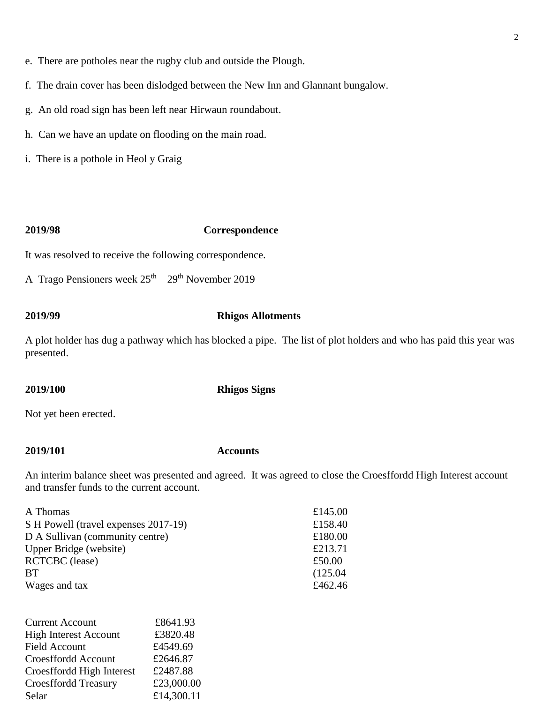- e. There are potholes near the rugby club and outside the Plough.
- f. The drain cover has been dislodged between the New Inn and Glannant bungalow.
- g. An old road sign has been left near Hirwaun roundabout.
- h. Can we have an update on flooding on the main road.
- i. There is a pothole in Heol y Graig

### **2019/98 Correspondence**

It was resolved to receive the following correspondence.

A Trago Pensioners week  $25<sup>th</sup> - 29<sup>th</sup>$  November 2019

### **2019/99 Rhigos Allotments**

A plot holder has dug a pathway which has blocked a pipe. The list of plot holders and who has paid this year was presented.

**2019/100 Rhigos Signs**

Not yet been erected.

Croesffordd High Interest £2487.88 Croesffordd Treasury £23,000.00 Selar  $£14,300.11$ 

### **2019/101 Accounts**

An interim balance sheet was presented and agreed. It was agreed to close the Croesffordd High Interest account and transfer funds to the current account.

| A Thomas<br>S H Powell (travel expenses 2017-19)<br>D A Sullivan (community centre)<br>Upper Bridge (website)<br><b>RCTCBC</b> (lease)<br><b>BT</b><br>Wages and tax |  | £145.00<br>£158.40<br>£180.00<br>£213.71<br>£50.00<br>(125.04) |                              |          |  |
|----------------------------------------------------------------------------------------------------------------------------------------------------------------------|--|----------------------------------------------------------------|------------------------------|----------|--|
|                                                                                                                                                                      |  |                                                                | £462.46                      |          |  |
|                                                                                                                                                                      |  |                                                                | <b>Current Account</b>       | £8641.93 |  |
|                                                                                                                                                                      |  |                                                                | <b>High Interest Account</b> | £3820.48 |  |
|                                                                                                                                                                      |  |                                                                | Field Account                | £4549.69 |  |
|                                                                                                                                                                      |  |                                                                | Croesffordd Account          | £2646.87 |  |